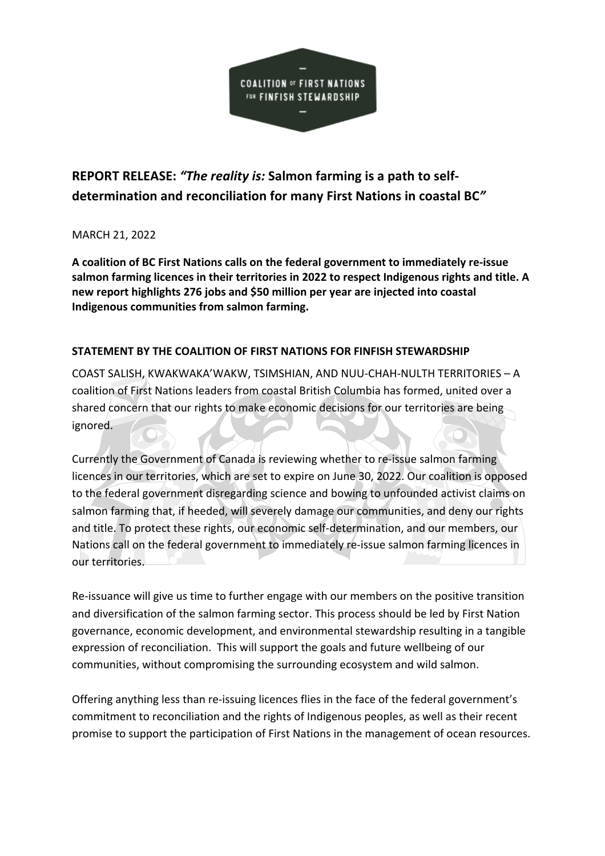

# **REPORT RELEASE:** *"The reality is:* **Salmon farming is a path to selfdetermination and reconciliation for many First Nations in coastal BC***"*

# MARCH 21, 2022

**A coalition of BC First Nations calls on the federal government to immediately re-issue salmon farming licences in their territories in 2022 to respect Indigenous rights and title. A new report highlights 276 jobs and \$50 million per year are injected into coastal Indigenous communities from salmon farming.**

# **STATEMENT BY THE COALITION OF FIRST NATIONS FOR FINFISH STEWARDSHIP**

COAST SALISH, KWAKWAKA'WAKW, TSIMSHIAN, AND NUU-CHAH-NULTH TERRITORIES – A coalition of First Nations leaders from coastal British Columbia has formed, united over a shared concern that our rights to make economic decisions for our territories are being ignored.

Currently the Government of Canada is reviewing whether to re-issue salmon farming licences in our territories, which are set to expire on June 30, 2022. Our coalition is opposed to the federal government disregarding science and bowing to unfounded activist claims on salmon farming that, if heeded, will severely damage our communities, and deny our rights and title. To protect these rights, our economic self-determination, and our members, our Nations call on the federal government to immediately re-issue salmon farming licences in our territories.

Re-issuance will give us time to further engage with our members on the positive transition and diversification of the salmon farming sector. This process should be led by First Nation governance, economic development, and environmental stewardship resulting in a tangible expression of reconciliation. This will support the goals and future wellbeing of our communities, without compromising the surrounding ecosystem and wild salmon.

Offering anything less than re-issuing licences flies in the face of the federal government's commitment to reconciliation and the rights of Indigenous peoples, as well as their recent promise to support the participation of First Nations in the management of ocean resources.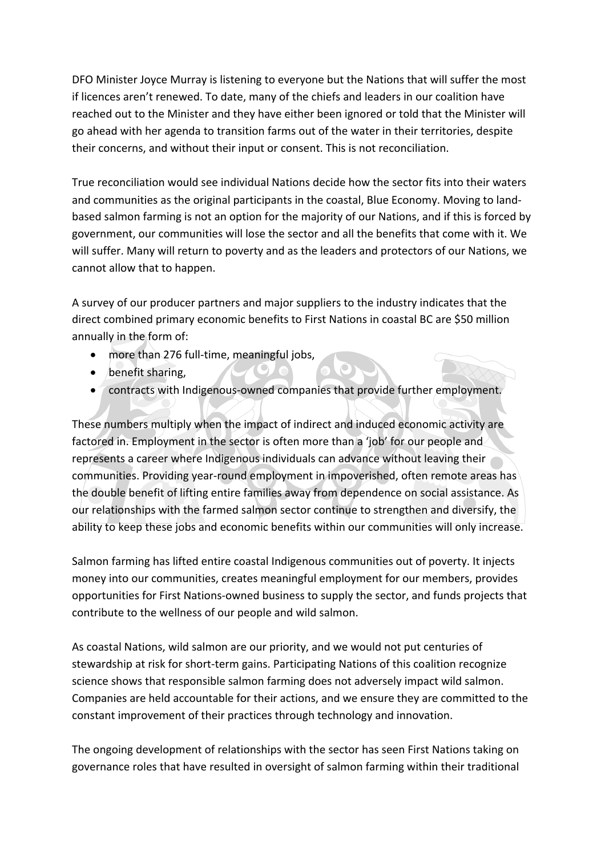DFO Minister Joyce Murray is listening to everyone but the Nations that will suffer the most if licences aren't renewed. To date, many of the chiefs and leaders in our coalition have reached out to the Minister and they have either been ignored or told that the Minister will go ahead with her agenda to transition farms out of the water in their territories, despite their concerns, and without their input or consent. This is not reconciliation.

True reconciliation would see individual Nations decide how the sector fits into their waters and communities as the original participants in the coastal, Blue Economy. Moving to landbased salmon farming is not an option for the majority of our Nations, and if this is forced by government, our communities will lose the sector and all the benefits that come with it. We will suffer. Many will return to poverty and as the leaders and protectors of our Nations, we cannot allow that to happen.

A survey of our producer partners and major suppliers to the industry indicates that the direct combined primary economic benefits to First Nations in coastal BC are \$50 million annually in the form of:

- more than 276 full-time, meaningful jobs,
- benefit sharing,
- contracts with Indigenous-owned companies that provide further employment.

These numbers multiply when the impact of indirect and induced economic activity are factored in. Employment in the sector is often more than a 'job' for our people and represents a career where Indigenous individuals can advance without leaving their communities. Providing year-round employment in impoverished, often remote areas has the double benefit of lifting entire families away from dependence on social assistance. As our relationships with the farmed salmon sector continue to strengthen and diversify, the ability to keep these jobs and economic benefits within our communities will only increase.

Salmon farming has lifted entire coastal Indigenous communities out of poverty. It injects money into our communities, creates meaningful employment for our members, provides opportunities for First Nations-owned business to supply the sector, and funds projects that contribute to the wellness of our people and wild salmon.

As coastal Nations, wild salmon are our priority, and we would not put centuries of stewardship at risk for short-term gains. Participating Nations of this coalition recognize science shows that responsible salmon farming does not adversely impact wild salmon. Companies are held accountable for their actions, and we ensure they are committed to the constant improvement of their practices through technology and innovation.

The ongoing development of relationships with the sector has seen First Nations taking on governance roles that have resulted in oversight of salmon farming within their traditional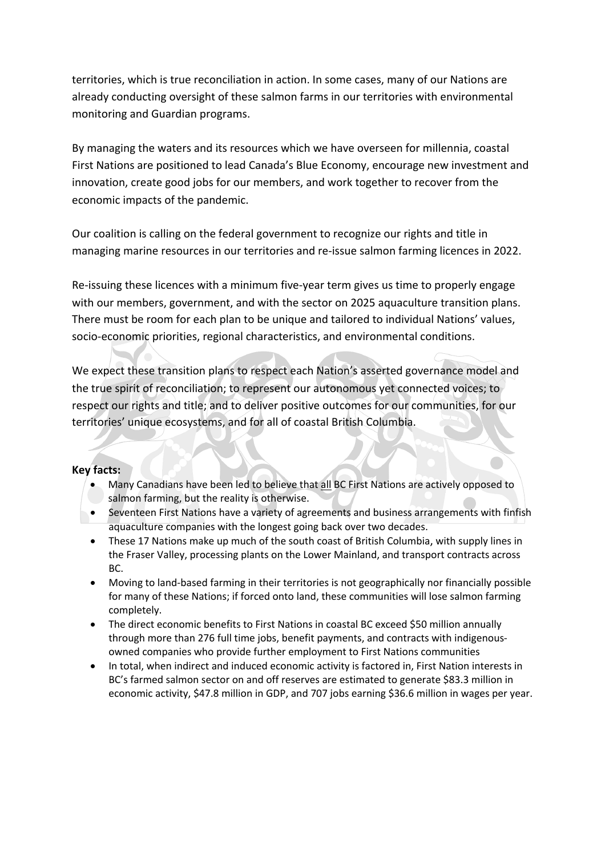territories, which is true reconciliation in action. In some cases, many of our Nations are already conducting oversight of these salmon farms in our territories with environmental monitoring and Guardian programs.

By managing the waters and its resources which we have overseen for millennia, coastal First Nations are positioned to lead Canada's Blue Economy, encourage new investment and innovation, create good jobs for our members, and work together to recover from the economic impacts of the pandemic.

Our coalition is calling on the federal government to recognize our rights and title in managing marine resources in our territories and re-issue salmon farming licences in 2022.

Re-issuing these licences with a minimum five-year term gives us time to properly engage with our members, government, and with the sector on 2025 aquaculture transition plans. There must be room for each plan to be unique and tailored to individual Nations' values, socio-economic priorities, regional characteristics, and environmental conditions.

We expect these transition plans to respect each Nation's asserted governance model and the true spirit of reconciliation; to represent our autonomous yet connected voices; to respect our rights and title; and to deliver positive outcomes for our communities, for our territories' unique ecosystems, and for all of coastal British Columbia.

# **Key facts:**

- Many Canadians have been led to believe that all BC First Nations are actively opposed to salmon farming, but the reality is otherwise.
- Seventeen First Nations have a variety of agreements and business arrangements with finfish aquaculture companies with the longest going back over two decades.
- These 17 Nations make up much of the south coast of British Columbia, with supply lines in the Fraser Valley, processing plants on the Lower Mainland, and transport contracts across BC.
- Moving to land-based farming in their territories is not geographically nor financially possible for many of these Nations; if forced onto land, these communities will lose salmon farming completely.
- The direct economic benefits to First Nations in coastal BC exceed \$50 million annually through more than 276 full time jobs, benefit payments, and contracts with indigenousowned companies who provide further employment to First Nations communities
- In total, when indirect and induced economic activity is factored in, First Nation interests in BC's farmed salmon sector on and off reserves are estimated to generate \$83.3 million in economic activity, \$47.8 million in GDP, and 707 jobs earning \$36.6 million in wages per year.